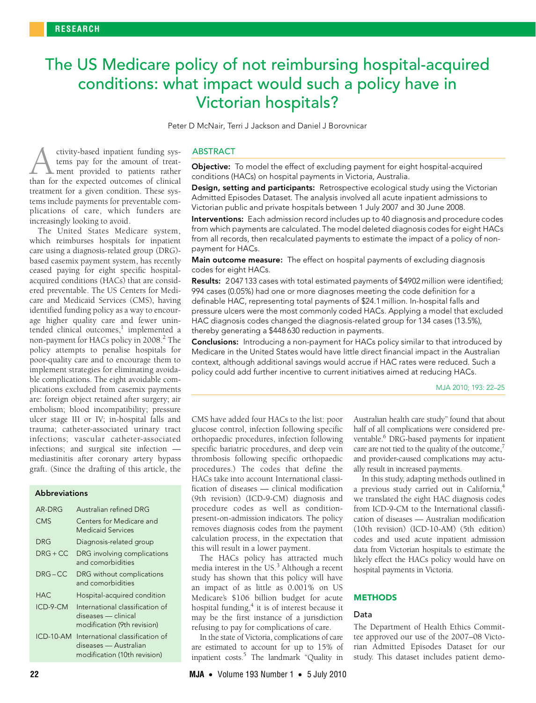# <span id="page-0-0"></span>The US Medicare policy of not reimbursing hospital-acquired conditions: what impact would such a policy have in Victorian hospitals?

Peter D McNair, Terri J Jackson and Daniel J Borovnicar

ctivity-based inpatient funding systems pay for the amount of treat-**L** ment provided to patients rather ctivity-based inpatient funding sys-<br>tems pay for the amount of treat-<br>than for the expected outcomes of clinical treatment for a given condition. These systems include payments for preventable complications of care, which funders are increasingly looking to avoid.

ceased paying for eight specific hospitalacquired conditions (HACs) that a[re](#page-0-0) [con](#page-3-7)sidered preventable. The US Centers for Medicare and Medicaid Services (CMS), having dentified funding policy as a way to encour-The United States Medicare system, which reimburses hospitals for inpatient care using a diagnosis-related group (DRG) based casemix payment system, has recently age higher quality care and fewer unintended clinical outcomes,<sup>1</sup> implemented a non-payment for HACs policy in [2](#page-3-1)008.<sup>2</sup> The policy attempts to penalise hospitals for poor-quality care and to encourage them to implement strategies for eliminating avoidable complications. The eight avoidable complications excluded from casemix payments are: foreign object retained after surgery; air embolism; blood incompatibility; pressure ulcer stage III or IV; in-hospital falls and trauma; catheter-associated urinary tract infections; vascular catheter-associated infections; and surgical site infection mediastinitis after coronary artery bypass graft. (Since the drafting of this article, the

# Abbreviations

| AR-DRG       | Australian refined DRG                                                                   |
|--------------|------------------------------------------------------------------------------------------|
| <b>CMS</b>   | Centers for Medicare and<br><b>Medicaid Services</b>                                     |
| DRG          | Diagnosis-related group                                                                  |
| $DRG + CC$   | DRG involving complications<br>and comorbidities                                         |
| $DRG-CC$     | DRG without complications<br>and comorbidities                                           |
| <b>HAC</b>   | Hospital-acquired condition                                                              |
| ICD-9-CM     | International classification of<br>diseases — clinical<br>modification (9th revision)    |
| $IC.D-10-AM$ | International classification of<br>diseases — Australian<br>modification (10th revision) |

## ABSTRACT

Objective: To model the effect of excluding payment for eight hospital-acquired conditions (HACs) on hospital payments in Victoria, Australia.

**Design, setting and participants:** Retrospective ecological study using the Victorian Admitted Episodes Dataset. The analysis involved all acute inpatient admissions to Victorian public and private hospitals between 1 July 2007 and 30 June 2008.

Interventions: Each admission record includes up to 40 diagnosis and procedure codes from which payments are calculated. The model deleted diagnosis codes for eight HACs from all records, then recalculated payments to estimate the impact of a policy of nonpayment for HACs.

Main outcome measure: The effect on hospital payments of excluding diagnosis codes for eight HACs.

Results: 2047133 cases with total estimated payments of \$4902 million were identified; 994 cases (0.05%) had one or more diagnoses meeting the code definition for a definable HAC, representing total payments of \$24.1 million. In-hospital falls and pressure ulcers were the most commonly coded HACs. Applying a model that excluded HAC diagnosis codes changed the diagnosis-related group for 134 cases (13.5%), thereby generating a \$448 630 reduction in payments.

Conclusions: Introducing a non-payment for HACs policy similar to that introduced by Medicare in the United States would have little direct financial impact in the Australian context, although additional savings would accrue if HAC rates were reduced. Such a policy could add further incentive to current initiatives aimed at reducing HACs.

MJA 2010; 193: 22–25

CMS have added four HACs to the list: poor glucose control, infection following specific orthopaedic procedures, infection following specific bariatric procedures, and deep vein thrombosis following specific orthopaedic procedures.) The codes that define the HACs take into account International classification of diseases — clinical modification (9th revision) (ICD-9-CM) diagnosis and procedure codes as well as conditionpresent-on-admission indicators. The policy removes diagnosis codes from the payment calculation process, in the expectation that this will result in a lower payment.

The HACs policy has attracted much media interest in the US.<sup>3</sup> Although a recent study has shown that this policy will have an impact of as little as 0.001% on US Medicare's \$106 billion budget for acute hospital funding,<sup>4</sup> it is of interest because it may be the first instance of a jurisdiction refusing to pay for complications of care.

In the state of Victoria, complications of care are estimated to account for up to 15% of inpatient costs.<sup>5</sup> The landmark "Quality in

Australian health care study" found that about half of all complications were considered pre-ventable.<sup>[6](#page-3-5)</sup> DRG-based payments for inpatient care are not tied to the quality of the outcome, $^7$  $^7$ and provider-caused complications may actually result in increased payments.

In this study, adapting methods outlined in a previous study carried out in California,<sup>[4](#page-3-3)</sup> we translated the eight HAC diagnosis codes from ICD-9-CM to the International classification of diseases — Australian modification (10th revision) (ICD-10-AM) (5th edition) codes and used acute inpatient admission data from Victorian hospitals to estimate the likely effect the HACs policy would have on hospital payments in Victoria.

## **METHODS**

#### Data

The Department of Health Ethics Committee approved our use of the 2007–08 Victorian Admitted Episodes Dataset for our study. This dataset includes patient demo-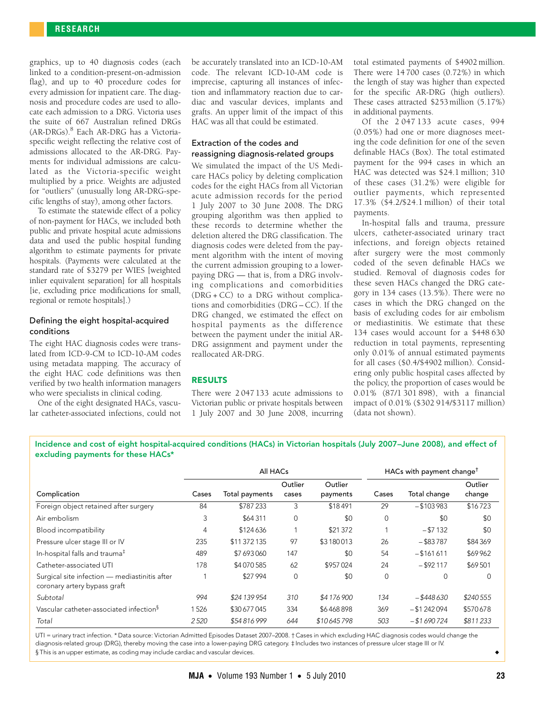graphics, up to 40 diagnosis codes (each linked to a condition-present-on-admission flag), and up to 40 procedure codes for every admission for inpatient care. The diagnosis and procedure codes are used to allocate each admission to a DRG. Victoria uses the suite of 667 Australian refined DRGs (AR-DRGs)[.8](#page-3-8) Each AR-DRG has a Victoriaspecific weight reflecting the relative cost of admissions allocated to the AR-DRG. Payments for individual admissions are calculated as the Victoria-specific weight multiplied by a price. Weights are adjusted for "outliers" (unusually long AR-DRG-specific lengths of stay), among other factors.

To estimate the statewide effect of a policy of non-payment for HACs, we included both public and private hospital acute admissions data and used the public hospital funding algorithm to estimate payments for private hospitals. (Payments were calculated at the standard rate of \$3279 per WIES [weighted inlier equivalent separation] for all hospitals [ie, excluding price modifications for small, regional or remote hospitals].)

# Defining the eight hospital-acquired conditions

The eight HAC diagnosis codes were translated from ICD-9-CM to ICD-10-AM codes using metadata mapping. The accuracy of the eight HAC code definitions was then verified by two health information managers who were specialists in clinical coding.

One of the eight designated HACs, vascular catheter-associated infections, could not be accurately translated into an ICD-10-AM code. The relevant ICD-10-AM code is imprecise, capturing all instances of infection and inflammatory reaction due to cardiac and vascular devices, implants and grafts. An upper limit of the impact of this HAC was all that could be estimated.

# Extraction of the codes and reassigning diagnosis-related groups

We simulated the impact of the US Medicare HACs policy by deleting complication codes for the eight HACs from all Victorian acute admission records for the period 1 July 2007 to 30 June 2008. The DRG grouping algorithm was then applied to these records to determine whether the deletion altered the DRG classification. The diagnosis codes were deleted from the payment algorithm with the intent of moving the current admission grouping to a lowerpaying DRG — that is, from a DRG involving complications and comorbidities  $(DRG + CC)$  to a DRG without complications and comorbidities (DRG – CC). If the DRG changed, we estimated the effect on hospital payments as the difference between the payment under the initial AR-DRG assignment and payment under the reallocated AR-DRG.

# RESULTS

There were 2 047 133 acute admissions to Victorian public or private hospitals between 1 July 2007 and 30 June 2008, incurring total estimated payments of \$4902 million. There were 14 700 cases (0.72%) in which the length of stay was higher than expected for the specific AR-DRG (high outliers). These cases attracted \$253 million (5.17%) in additional payments.

Of the 2 047 133 acute cases, 994 (0.05%) had one or more diagnoses meeting the code definition for one of the seven definable HACs [\(Box\)](#page-1-0). The total estimated payment for the 994 cases in which an HAC was detected was \$24.1 million; 310 of these cases (31.2%) were eligible for outlier payments, which represented 17.3% (\$4.2/\$24.1 million) of their total payments.

In-hospital falls and trauma, pressure ulcers, catheter-associated urinary tract infections, and foreign objects retained after surgery were the most commonly coded of the seven definable HACs we studied. Removal of diagnosis codes for these seven HACs changed the DRG category in 134 cases (13.5%). There were no cases in which the DRG changed on the basis of excluding codes for air embolism or mediastinitis. We estimate that these 134 cases would account for a \$448 630 reduction in total payments, representing only 0.01% of annual estimated payments for all cases (\$0.4/\$4902 million). Considering only public hospital cases affected by the policy, the proportion of cases would be 0.01% (87/1 301 898), with a financial impact of 0.01% (\$302 914/\$3117 million) (data not shown).

<span id="page-1-0"></span>Incidence and cost of eight hospital-acquired conditions (HACs) in Victorian hospitals (July 2007–June 2008), and effect of excluding payments for these HACs\*

|                                                                               | All HACs |                |                  |                     | HACs with payment change <sup>t</sup> |               |                   |
|-------------------------------------------------------------------------------|----------|----------------|------------------|---------------------|---------------------------------------|---------------|-------------------|
| Complication                                                                  | Cases    | Total payments | Outlier<br>cases | Outlier<br>payments | Cases                                 | Total change  | Outlier<br>change |
| Foreign object retained after surgery                                         | 84       | \$787233       | 3                | \$18491             | 29                                    | $- $103983$   | \$16723           |
| Air embolism                                                                  | 3        | \$64311        | $\mathbf 0$      | \$0                 | $\mathbf 0$                           | \$0           | \$0               |
| Blood incompatibility                                                         | 4        | \$124636       |                  | \$21372             |                                       | $- $7132$     | \$0               |
| Pressure ulcer stage III or IV                                                | 235      | \$11 372 135   | 97               | \$3180013           | 26                                    | $-$ \$83787   | \$84 369          |
| In-hospital falls and trauma <sup>#</sup>                                     | 489      | \$7693060      | 147              | \$0                 | 54                                    | $-$ \$161611  | \$69962           |
| Catheter-associated UTI                                                       | 178      | \$4070585      | 62               | \$957024            | 24                                    | $-$ \$92117   | \$69501           |
| Surgical site infection - mediastinitis after<br>coronary artery bypass graft |          | \$27994        | $\mathbf 0$      | \$0                 | 0                                     | $\Omega$      | $\Omega$          |
| Subtotal                                                                      | 994      | \$24 139 954   | 310              | \$4176900           | 134                                   | $-$ \$448 630 | \$240555          |
| Vascular catheter-associated infection <sup>§</sup>                           | 1526     | \$30 677 045   | 334              | \$6468898           | 369                                   | $- $1242094$  | \$570678          |
| Total                                                                         | 2520     | \$54816999     | 644              | \$10645798          | 503                                   | $- $1690724$  | \$811233          |

UTI = urinary tract infection. \* Data source: Victorian Admitted Episodes Dataset 2007–2008. † Cases in which excluding HAC diagnosis codes would change the diagnosis-related group (DRG), thereby moving the case into a lower-paying DRG category. ‡ Includes two instances of pressure ulcer stage III or IV. § This is an upper estimate, as coding may include cardiac and vascular devices. ◆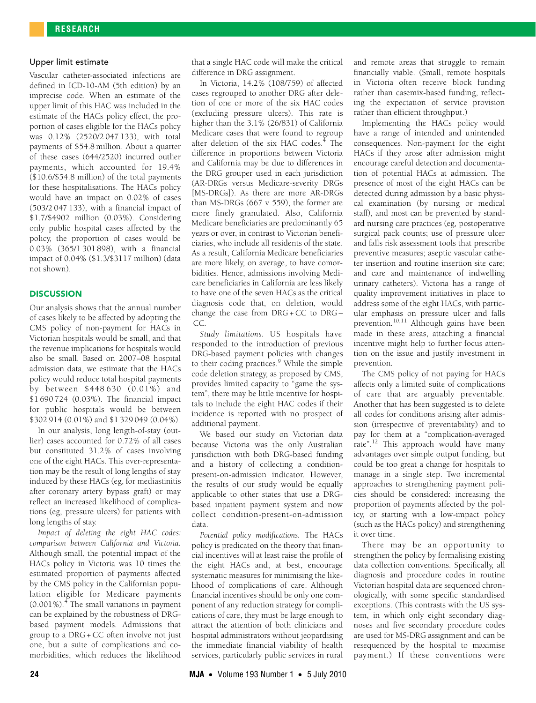## Upper limit estimate

Vascular catheter-associated infections are defined in ICD-10-AM (5th edition) by an imprecise code. When an estimate of the upper limit of this HAC was included in the estimate of the HACs policy effect, the proportion of cases eligible for the HACs policy was 0.12% (2520/2 047 133), with total payments of \$54.8 million. About a quarter of these cases (644/2520) incurred outlier payments, which accounted for 19.4% (\$10.6/\$54.8 million) of the total payments for these hospitalisations. The HACs policy would have an impact on 0.02% of cases (503/2 047 133), with a financial impact of \$1.7/\$4902 million (0.03%). Considering only public hospital cases affected by the policy, the proportion of cases would be 0.03% (365/1 301 898), with a financial impact of 0.04% (\$1.3/\$3117 million) (data not shown).

### **DISCUSSION**

Our analysis shows that the annual number of cases likely to be affected by adopting the CMS policy of non-payment for HACs in Victorian hospitals would be small, and that the revenue implications for hospitals would also be small. Based on 2007–08 hospital admission data, we estimate that the HACs policy would reduce total hospital payments by between \$448 630 (0.01%) and \$1 690 724 (0.03%). The financial impact for public hospitals would be between \$302 914 (0.01%) and \$1 329 049 (0.04%).

In our analysis, long length-of-stay (outlier) cases accounted for 0.72% of all cases but constituted 31.2% of cases involving one of the eight HACs. This over-representation may be the result of long lengths of stay induced by these HACs (eg, for mediastinitis after coronary artery bypass graft) or may reflect an increased likelihood of complications (eg, pressure ulcers) for patients with long lengths of stay.

*Impact of deleting the eight HAC codes: comparison between California and Victoria.* Although small, the potential impact of the HACs policy in Victoria was 10 times the estimated proportion of payments affected by the CMS policy in the Californian population eligible for Medicare payments (0.001%).[4](#page-3-3) The small variations in payment can be explained by the robustness of DRGbased payment models. Admissions that group to a DRG + CC often involve not just one, but a suite of complications and comorbidities, which reduces the likelihood

that a single HAC code will make the critical difference in DRG assignment.

In Victoria, 14.2% (108/759) of affected cases regrouped to another DRG after deletion of one or more of the six HAC codes (excluding pressure ulcers). This rate is higher than the 3.1% (26/831) of California Medicare cases that were found to regroup after deletion of the six HAC codes.<sup>[4](#page-3-3)</sup> The difference in proportions between Victoria and California may be due to differences in the DRG grouper used in each jurisdiction (AR-DRGs versus Medicare-severity DRGs [MS-DRGs]). As there are more AR-DRGs than MS-DRGs (667 v 559), the former are more finely granulated. Also, California Medicare beneficiaries are predominantly 65 years or over, in contrast to Victorian beneficiaries, who include all residents of the state. As a result, California Medicare beneficiaries are more likely, on average, to have comorbidities. Hence, admissions involving Medicare beneficiaries in California are less likely to have one of the seven HACs as the critical diagnosis code that, on deletion, would change the case from DRG + CC to DRG – CC.

*Study limitations.* US hospitals have responded to the introduction of previous DRG-based payment policies with changes to their coding practices.<sup>[9](#page-3-9)</sup> While the simple code deletion strategy, as proposed by CMS, provides limited capacity to "game the system", there may be little incentive for hospitals to include the eight HAC codes if their incidence is reported with no prospect of additional payment.

We based our study on Victorian data because Victoria was the only Australian jurisdiction with both DRG-based funding and a history of collecting a conditionpresent-on-admission indicator. However, the results of our study would be equally applicable to other states that use a DRGbased inpatient payment system and now collect condition-present-on-admission data.

*Potential policy modifications.* The HACs policy is predicated on the theory that financial incentives will at least raise the profile of the eight HACs and, at best, encourage systematic measures for minimising the likelihood of complications of care. Although financial incentives should be only one component of any reduction strategy for complications of care, they must be large enough to attract the attention of both clinicians and hospital administrators without jeopardising the immediate financial viability of health services, particularly public services in rural

and remote areas that struggle to remain financially viable. (Small, remote hospitals in Victoria often receive block funding rather than casemix-based funding, reflecting the expectation of service provision rather than efficient throughput.)

Implementing the HACs policy would have a range of intended and unintended consequences. Non-payment for the eight HACs if they arose after admission might encourage careful detection and documentation of potential HACs at admission. The presence of most of the eight HACs can be detected during admission by a basic physical examination (by nursing or medical staff), and most can be prevented by standard nursing care practices (eg, postoperative surgical pack counts; use of pressure ulcer and falls risk assessment tools that prescribe preventive measures; aseptic vascular catheter insertion and routine insertion site care; and care and maintenance of indwelling urinary catheters). Victoria has a range of quality improvement initiatives in place to address some of the eight HACs, with particular emphasis on pressure ulcer and falls prevention.<sup>[10](#page-3-10),11</sup> Although gains have been made in these areas, attaching a financial incentive might help to further focus attention on the issue and justify investment in prevention.

The CMS policy of not paying for HACs affects only a limited suite of complications of care that are arguably preventable. Another that has been suggested is to delete all codes for conditions arising after admission (irrespective of preventability) and to pay for them at a "complication-averaged rate".<sup>12</sup> This approach would have many advantages over simple output funding, but could be too great a change for hospitals to manage in a single step. Two incremental approaches to strengthening payment policies should be considered: increasing the proportion of payments affected by the policy, or starting with a low-impact policy (such as the HACs policy) and strengthening it over time.

There may be an opportunity to strengthen the policy by formalising existing data collection conventions. Specifically, all diagnosis and procedure codes in routine Victorian hospital data are sequenced chronologically, with some specific standardised exceptions. (This contrasts with the US system, in which only eight secondary diagnoses and five secondary procedure codes are used for MS-DRG assignment and can be resequenced by the hospital to maximise payment.) If these conventions were